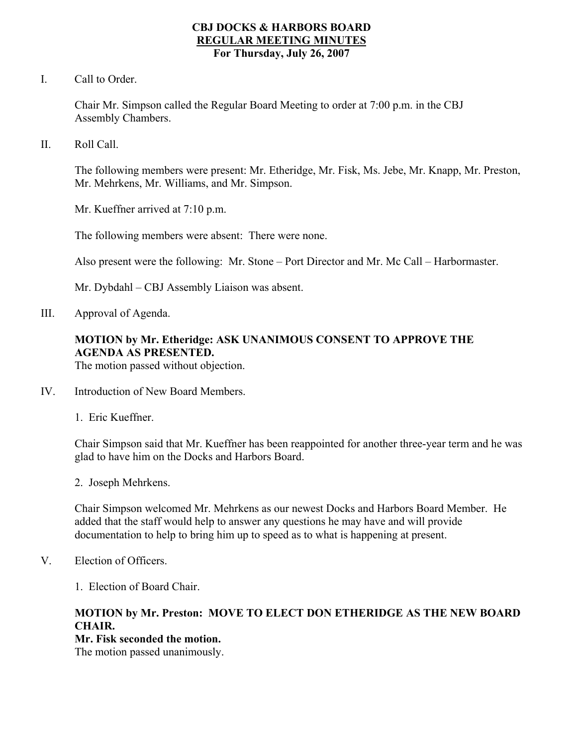### **CBJ DOCKS & HARBORS BOARD REGULAR MEETING MINUTES For Thursday, July 26, 2007**

I. Call to Order.

Chair Mr. Simpson called the Regular Board Meeting to order at 7:00 p.m. in the CBJ Assembly Chambers.

II. Roll Call.

The following members were present: Mr. Etheridge, Mr. Fisk, Ms. Jebe, Mr. Knapp, Mr. Preston, Mr. Mehrkens, Mr. Williams, and Mr. Simpson.

Mr. Kueffner arrived at 7:10 p.m.

The following members were absent: There were none.

Also present were the following: Mr. Stone – Port Director and Mr. Mc Call – Harbormaster.

Mr. Dybdahl – CBJ Assembly Liaison was absent.

III. Approval of Agenda.

# **MOTION by Mr. Etheridge: ASK UNANIMOUS CONSENT TO APPROVE THE AGENDA AS PRESENTED.**

The motion passed without objection.

- IV. Introduction of New Board Members.
	- 1. Eric Kueffner.

Chair Simpson said that Mr. Kueffner has been reappointed for another three-year term and he was glad to have him on the Docks and Harbors Board.

2. Joseph Mehrkens.

Chair Simpson welcomed Mr. Mehrkens as our newest Docks and Harbors Board Member. He added that the staff would help to answer any questions he may have and will provide documentation to help to bring him up to speed as to what is happening at present.

- V. Election of Officers.
	- 1. Election of Board Chair.

## **MOTION by Mr. Preston: MOVE TO ELECT DON ETHERIDGE AS THE NEW BOARD CHAIR.**

### **Mr. Fisk seconded the motion.**

The motion passed unanimously.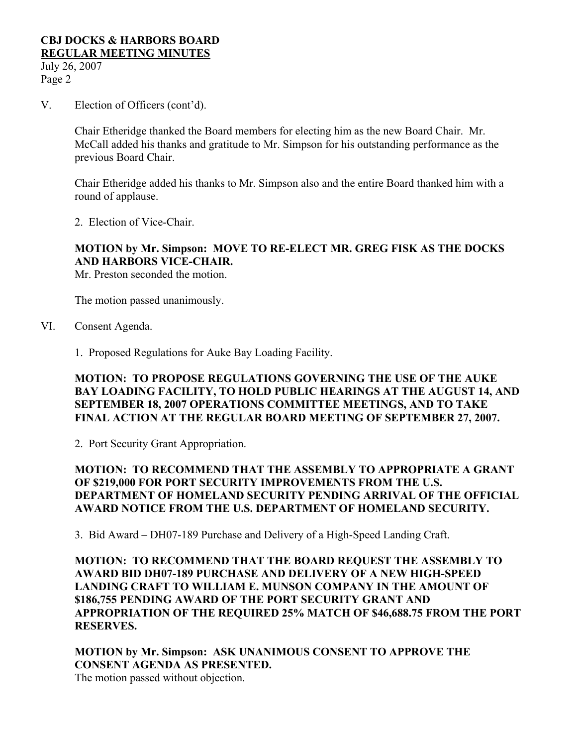July 26, 2007 Page 2

V. Election of Officers (cont'd).

Chair Etheridge thanked the Board members for electing him as the new Board Chair. Mr. McCall added his thanks and gratitude to Mr. Simpson for his outstanding performance as the previous Board Chair.

Chair Etheridge added his thanks to Mr. Simpson also and the entire Board thanked him with a round of applause.

2. Election of Vice-Chair.

## **MOTION by Mr. Simpson: MOVE TO RE-ELECT MR. GREG FISK AS THE DOCKS AND HARBORS VICE-CHAIR.**

Mr. Preston seconded the motion.

The motion passed unanimously.

- VI. Consent Agenda.
	- 1. Proposed Regulations for Auke Bay Loading Facility.

## **MOTION: TO PROPOSE REGULATIONS GOVERNING THE USE OF THE AUKE BAY LOADING FACILITY, TO HOLD PUBLIC HEARINGS AT THE AUGUST 14, AND SEPTEMBER 18, 2007 OPERATIONS COMMITTEE MEETINGS, AND TO TAKE FINAL ACTION AT THE REGULAR BOARD MEETING OF SEPTEMBER 27, 2007.**

2. Port Security Grant Appropriation.

## **MOTION: TO RECOMMEND THAT THE ASSEMBLY TO APPROPRIATE A GRANT OF \$219,000 FOR PORT SECURITY IMPROVEMENTS FROM THE U.S. DEPARTMENT OF HOMELAND SECURITY PENDING ARRIVAL OF THE OFFICIAL AWARD NOTICE FROM THE U.S. DEPARTMENT OF HOMELAND SECURITY.**

3. Bid Award – DH07-189 Purchase and Delivery of a High-Speed Landing Craft.

**MOTION: TO RECOMMEND THAT THE BOARD REQUEST THE ASSEMBLY TO AWARD BID DH07-189 PURCHASE AND DELIVERY OF A NEW HIGH-SPEED LANDING CRAFT TO WILLIAM E. MUNSON COMPANY IN THE AMOUNT OF \$186,755 PENDING AWARD OF THE PORT SECURITY GRANT AND APPROPRIATION OF THE REQUIRED 25% MATCH OF \$46,688.75 FROM THE PORT RESERVES.** 

**MOTION by Mr. Simpson: ASK UNANIMOUS CONSENT TO APPROVE THE CONSENT AGENDA AS PRESENTED.**  The motion passed without objection.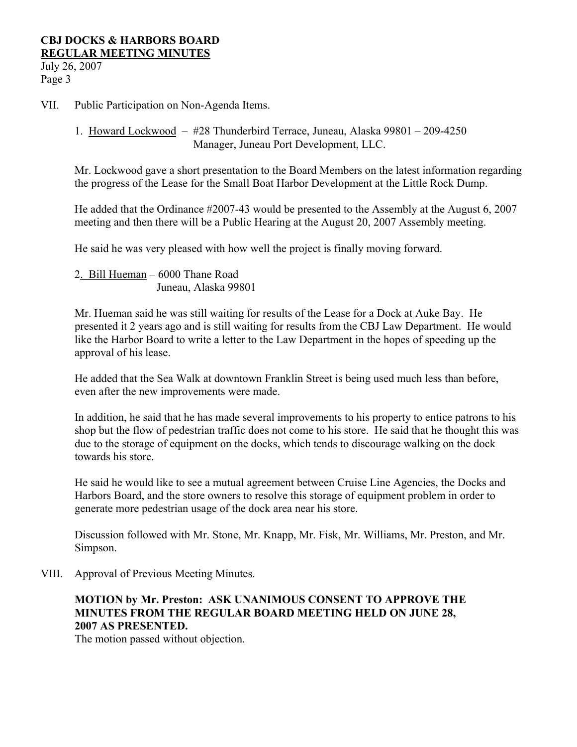July 26, 2007 Page 3

VII. Public Participation on Non-Agenda Items.

1. Howard Lockwood – #28 Thunderbird Terrace, Juneau, Alaska 99801 – 209-4250 Manager, Juneau Port Development, LLC.

Mr. Lockwood gave a short presentation to the Board Members on the latest information regarding the progress of the Lease for the Small Boat Harbor Development at the Little Rock Dump.

He added that the Ordinance #2007-43 would be presented to the Assembly at the August 6, 2007 meeting and then there will be a Public Hearing at the August 20, 2007 Assembly meeting.

He said he was very pleased with how well the project is finally moving forward.

2. Bill Hueman – 6000 Thane Road Juneau, Alaska 99801

Mr. Hueman said he was still waiting for results of the Lease for a Dock at Auke Bay. He presented it 2 years ago and is still waiting for results from the CBJ Law Department. He would like the Harbor Board to write a letter to the Law Department in the hopes of speeding up the approval of his lease.

He added that the Sea Walk at downtown Franklin Street is being used much less than before, even after the new improvements were made.

In addition, he said that he has made several improvements to his property to entice patrons to his shop but the flow of pedestrian traffic does not come to his store. He said that he thought this was due to the storage of equipment on the docks, which tends to discourage walking on the dock towards his store.

He said he would like to see a mutual agreement between Cruise Line Agencies, the Docks and Harbors Board, and the store owners to resolve this storage of equipment problem in order to generate more pedestrian usage of the dock area near his store.

Discussion followed with Mr. Stone, Mr. Knapp, Mr. Fisk, Mr. Williams, Mr. Preston, and Mr. Simpson.

VIII. Approval of Previous Meeting Minutes.

# **MOTION by Mr. Preston: ASK UNANIMOUS CONSENT TO APPROVE THE MINUTES FROM THE REGULAR BOARD MEETING HELD ON JUNE 28, 2007 AS PRESENTED.**

The motion passed without objection.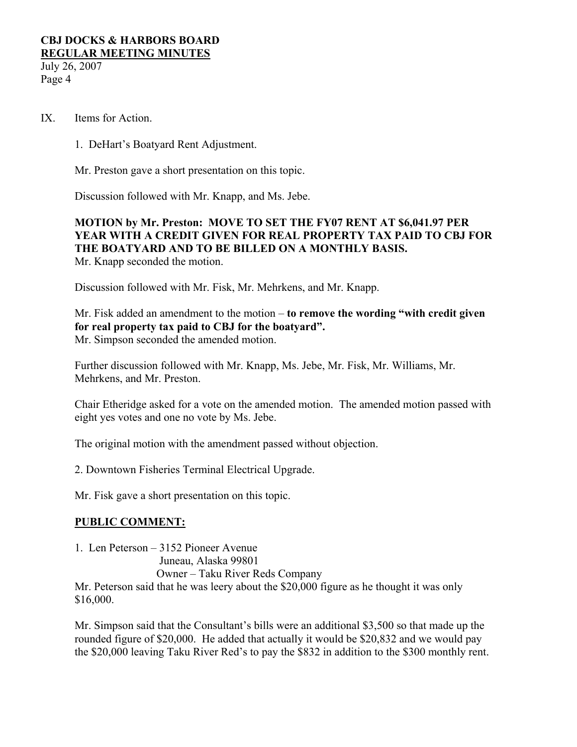July 26, 2007 Page 4

- IX. Items for Action.
	- 1. DeHart's Boatyard Rent Adjustment.

Mr. Preston gave a short presentation on this topic.

Discussion followed with Mr. Knapp, and Ms. Jebe.

### **MOTION by Mr. Preston: MOVE TO SET THE FY07 RENT AT \$6,041.97 PER YEAR WITH A CREDIT GIVEN FOR REAL PROPERTY TAX PAID TO CBJ FOR THE BOATYARD AND TO BE BILLED ON A MONTHLY BASIS.**  Mr. Knapp seconded the motion.

Discussion followed with Mr. Fisk, Mr. Mehrkens, and Mr. Knapp.

Mr. Fisk added an amendment to the motion – **to remove the wording "with credit given for real property tax paid to CBJ for the boatyard".** Mr. Simpson seconded the amended motion.

Further discussion followed with Mr. Knapp, Ms. Jebe, Mr. Fisk, Mr. Williams, Mr. Mehrkens, and Mr. Preston.

Chair Etheridge asked for a vote on the amended motion. The amended motion passed with eight yes votes and one no vote by Ms. Jebe.

The original motion with the amendment passed without objection.

2. Downtown Fisheries Terminal Electrical Upgrade.

Mr. Fisk gave a short presentation on this topic.

## **PUBLIC COMMENT:**

1. Len Peterson – 3152 Pioneer Avenue

Juneau, Alaska 99801

Owner – Taku River Reds Company

Mr. Peterson said that he was leery about the \$20,000 figure as he thought it was only \$16,000.

Mr. Simpson said that the Consultant's bills were an additional \$3,500 so that made up the rounded figure of \$20,000. He added that actually it would be \$20,832 and we would pay the \$20,000 leaving Taku River Red's to pay the \$832 in addition to the \$300 monthly rent.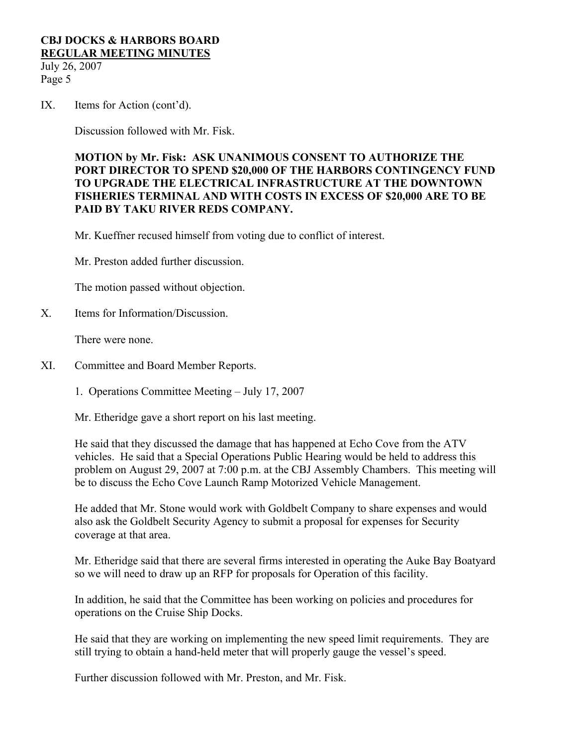July 26, 2007 Page 5

IX. Items for Action (cont'd).

Discussion followed with Mr. Fisk.

## **MOTION by Mr. Fisk: ASK UNANIMOUS CONSENT TO AUTHORIZE THE PORT DIRECTOR TO SPEND \$20,000 OF THE HARBORS CONTINGENCY FUND TO UPGRADE THE ELECTRICAL INFRASTRUCTURE AT THE DOWNTOWN FISHERIES TERMINAL AND WITH COSTS IN EXCESS OF \$20,000 ARE TO BE PAID BY TAKU RIVER REDS COMPANY.**

Mr. Kueffner recused himself from voting due to conflict of interest.

Mr. Preston added further discussion.

The motion passed without objection.

X. Items for Information/Discussion.

There were none.

XI. Committee and Board Member Reports.

1. Operations Committee Meeting – July 17, 2007

Mr. Etheridge gave a short report on his last meeting.

He said that they discussed the damage that has happened at Echo Cove from the ATV vehicles. He said that a Special Operations Public Hearing would be held to address this problem on August 29, 2007 at 7:00 p.m. at the CBJ Assembly Chambers. This meeting will be to discuss the Echo Cove Launch Ramp Motorized Vehicle Management.

He added that Mr. Stone would work with Goldbelt Company to share expenses and would also ask the Goldbelt Security Agency to submit a proposal for expenses for Security coverage at that area.

Mr. Etheridge said that there are several firms interested in operating the Auke Bay Boatyard so we will need to draw up an RFP for proposals for Operation of this facility.

In addition, he said that the Committee has been working on policies and procedures for operations on the Cruise Ship Docks.

He said that they are working on implementing the new speed limit requirements. They are still trying to obtain a hand-held meter that will properly gauge the vessel's speed.

Further discussion followed with Mr. Preston, and Mr. Fisk.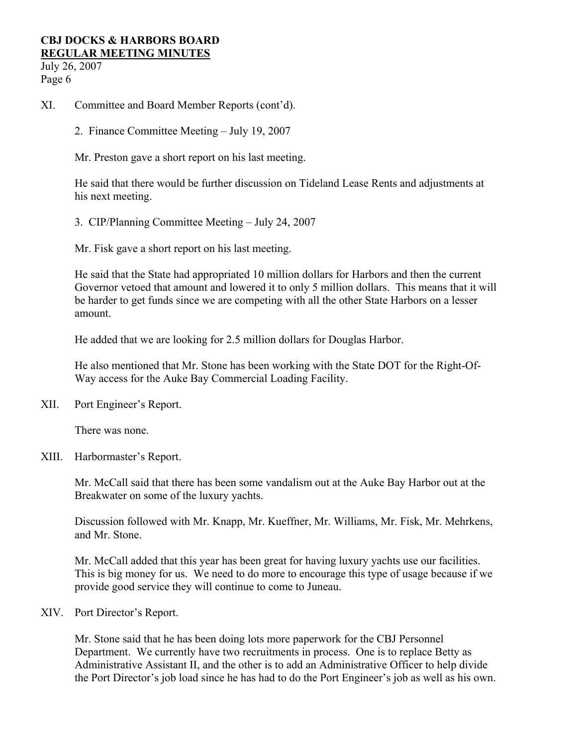July 26, 2007 Page 6

- XI. Committee and Board Member Reports (cont'd).
	- 2. Finance Committee Meeting July 19, 2007
	- Mr. Preston gave a short report on his last meeting.

He said that there would be further discussion on Tideland Lease Rents and adjustments at his next meeting.

3. CIP/Planning Committee Meeting – July 24, 2007

Mr. Fisk gave a short report on his last meeting.

He said that the State had appropriated 10 million dollars for Harbors and then the current Governor vetoed that amount and lowered it to only 5 million dollars. This means that it will be harder to get funds since we are competing with all the other State Harbors on a lesser amount.

He added that we are looking for 2.5 million dollars for Douglas Harbor.

He also mentioned that Mr. Stone has been working with the State DOT for the Right-Of-Way access for the Auke Bay Commercial Loading Facility.

XII. Port Engineer's Report.

There was none.

XIII. Harbormaster's Report.

Mr. McCall said that there has been some vandalism out at the Auke Bay Harbor out at the Breakwater on some of the luxury yachts.

Discussion followed with Mr. Knapp, Mr. Kueffner, Mr. Williams, Mr. Fisk, Mr. Mehrkens, and Mr. Stone.

Mr. McCall added that this year has been great for having luxury yachts use our facilities. This is big money for us. We need to do more to encourage this type of usage because if we provide good service they will continue to come to Juneau.

XIV. Port Director's Report.

Mr. Stone said that he has been doing lots more paperwork for the CBJ Personnel Department. We currently have two recruitments in process. One is to replace Betty as Administrative Assistant II, and the other is to add an Administrative Officer to help divide the Port Director's job load since he has had to do the Port Engineer's job as well as his own.